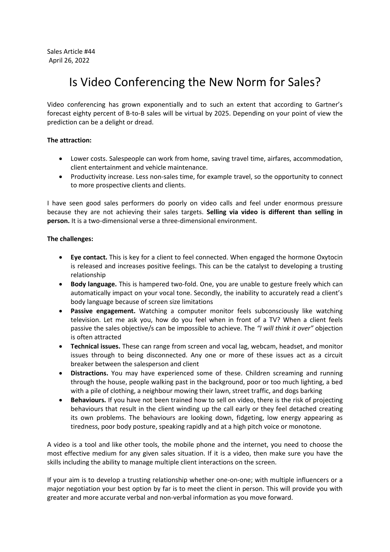## Is Video Conferencing the New Norm for Sales?

Video conferencing has grown exponentially and to such an extent that according to Gartner's forecast eighty percent of B-to-B sales will be virtual by 2025. Depending on your point of view the prediction can be a delight or dread.

## **The attraction:**

- Lower costs. Salespeople can work from home, saving travel time, airfares, accommodation, client entertainment and vehicle maintenance.
- Productivity increase. Less non-sales time, for example travel, so the opportunity to connect to more prospective clients and clients.

I have seen good sales performers do poorly on video calls and feel under enormous pressure because they are not achieving their sales targets. **Selling via video is different than selling in person.** It is a two-dimensional verse a three-dimensional environment.

## **The challenges:**

- **Eye contact.** This is key for a client to feel connected. When engaged the hormone Oxytocin is released and increases positive feelings. This can be the catalyst to developing a trusting relationship
- **Body language.** This is hampered two-fold. One, you are unable to gesture freely which can automatically impact on your vocal tone. Secondly, the inability to accurately read a client's body language because of screen size limitations
- **Passive engagement.** Watching a computer monitor feels subconsciously like watching television. Let me ask you, how do you feel when in front of a TV? When a client feels passive the sales objective/s can be impossible to achieve. The *"I will think it over"* objection is often attracted
- **Technical issues.** These can range from screen and vocal lag, webcam, headset, and monitor issues through to being disconnected. Any one or more of these issues act as a circuit breaker between the salesperson and client
- **Distractions.** You may have experienced some of these. Children screaming and running through the house, people walking past in the background, poor or too much lighting, a bed with a pile of clothing, a neighbour mowing their lawn, street traffic, and dogs barking
- **Behaviours.** If you have not been trained how to sell on video, there is the risk of projecting behaviours that result in the client winding up the call early or they feel detached creating its own problems. The behaviours are looking down, fidgeting, low energy appearing as tiredness, poor body posture, speaking rapidly and at a high pitch voice or monotone.

A video is a tool and like other tools, the mobile phone and the internet, you need to choose the most effective medium for any given sales situation. If it is a video, then make sure you have the skills including the ability to manage multiple client interactions on the screen.

If your aim is to develop a trusting relationship whether one-on-one; with multiple influencers or a major negotiation your best option by far is to meet the client in person. This will provide you with greater and more accurate verbal and non-verbal information as you move forward.